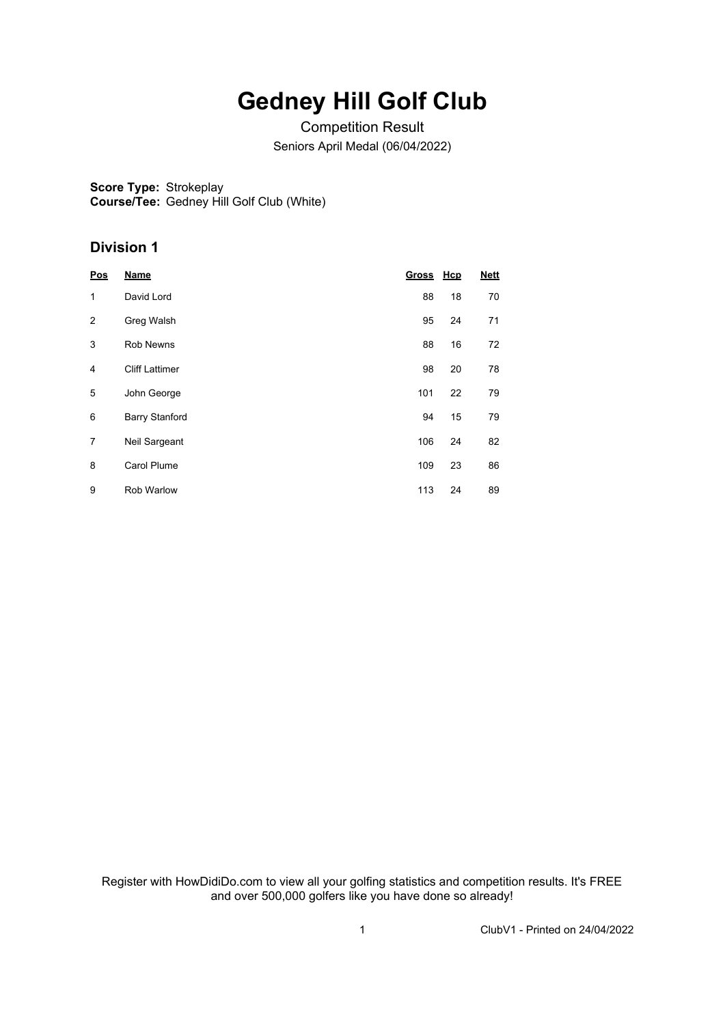# **Gedney Hill Golf Club**

Competition Result Seniors April Medal (06/04/2022)

**Score Type:** Strokeplay **Course/Tee:** Gedney Hill Golf Club (White)

### **Division 1**

| Pos            | <b>Name</b>           | Gross Hcp |    | <b>Nett</b> |
|----------------|-----------------------|-----------|----|-------------|
| 1              | David Lord            | 88        | 18 | 70          |
| $\overline{2}$ | Greg Walsh            | 95        | 24 | 71          |
| 3              | <b>Rob Newns</b>      | 88        | 16 | 72          |
| 4              | <b>Cliff Lattimer</b> | 98        | 20 | 78          |
| 5              | John George           | 101       | 22 | 79          |
| 6              | <b>Barry Stanford</b> | 94        | 15 | 79          |
| 7              | Neil Sargeant         | 106       | 24 | 82          |
| 8              | <b>Carol Plume</b>    | 109       | 23 | 86          |
| 9              | <b>Rob Warlow</b>     | 113       | 24 | 89          |

Register with HowDidiDo.com to view all your golfing statistics and competition results. It's FREE and over 500,000 golfers like you have done so already!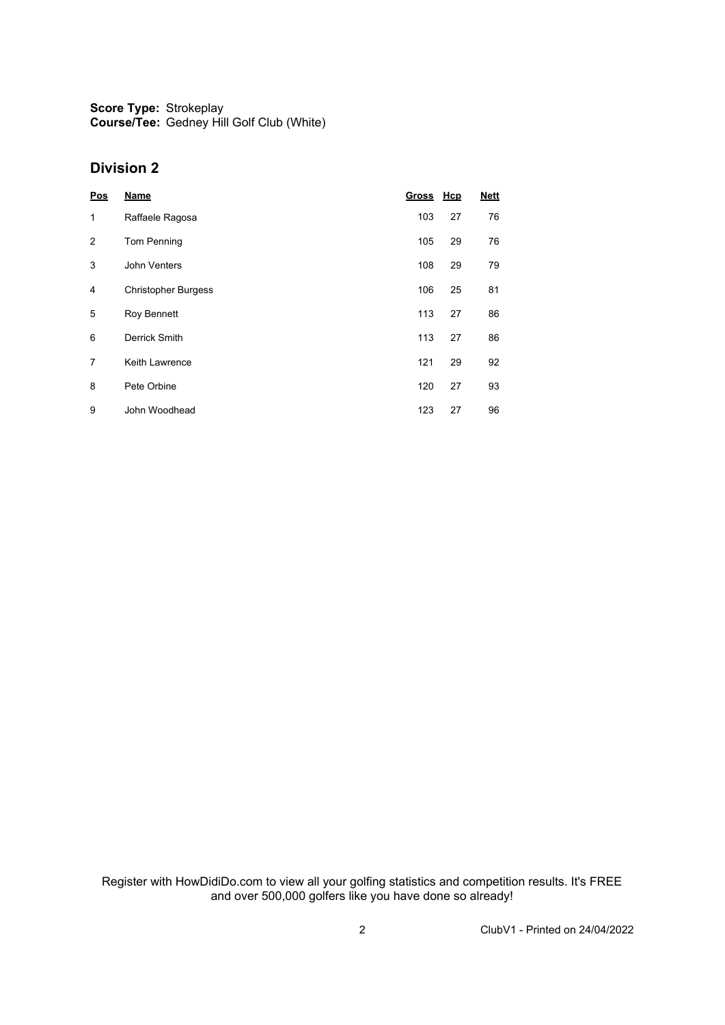**Score Type: Course/Tee:** Strokeplay Gedney Hill Golf Club (White)

#### **Division 2**

| Pos            | <b>Name</b>                | Gross Hcp |    | <b>Nett</b> |
|----------------|----------------------------|-----------|----|-------------|
| 1              | Raffaele Ragosa            | 103       | 27 | 76          |
| $\overline{2}$ | <b>Tom Penning</b>         | 105       | 29 | 76          |
| 3              | John Venters               | 108       | 29 | 79          |
| 4              | <b>Christopher Burgess</b> | 106       | 25 | 81          |
| 5              | Roy Bennett                | 113       | 27 | 86          |
| 6              | Derrick Smith              | 113       | 27 | 86          |
| 7              | Keith Lawrence             | 121       | 29 | 92          |
| 8              | Pete Orbine                | 120       | 27 | 93          |
| 9              | John Woodhead              | 123       | 27 | 96          |

Register with HowDidiDo.com to view all your golfing statistics and competition results. It's FREE and over 500,000 golfers like you have done so already!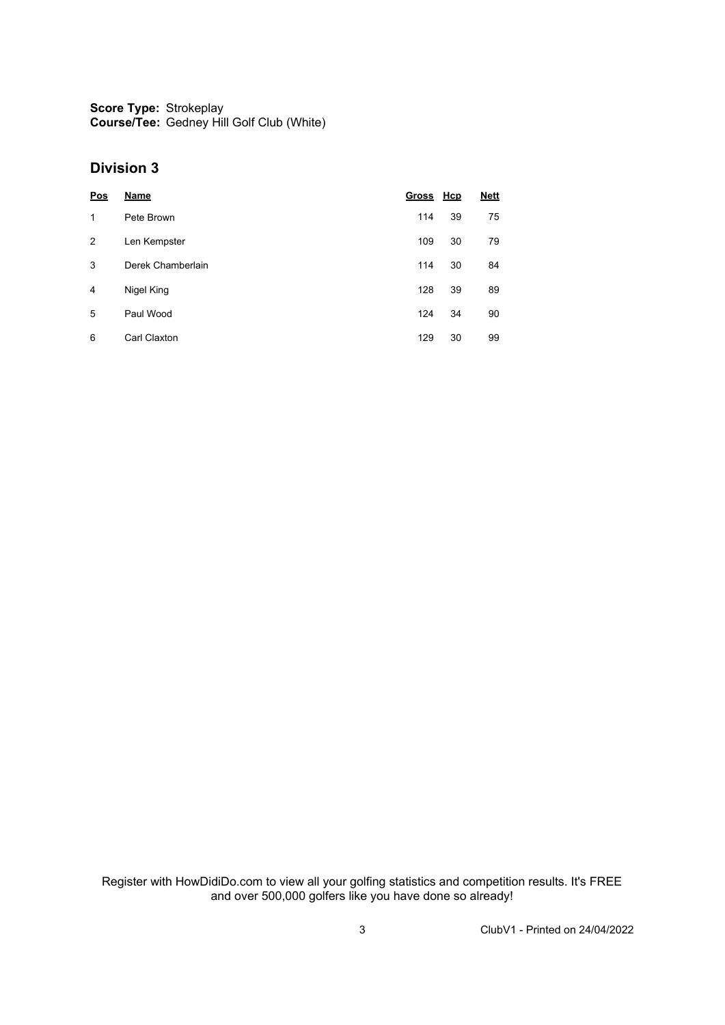**Score Type:** Strokeplay **Course/Tee:** Gedney Hill Golf Club (White)

#### **Division 3**

| Pos | <b>Name</b>       | Gross Hcp |    | <b>Nett</b> |
|-----|-------------------|-----------|----|-------------|
| 1   | Pete Brown        | 114       | 39 | 75          |
| 2   | Len Kempster      | 109       | 30 | 79          |
| 3   | Derek Chamberlain | 114       | 30 | 84          |
| 4   | Nigel King        | 128       | 39 | 89          |
| 5   | Paul Wood         | 124       | 34 | 90          |
| 6   | Carl Claxton      | 129       | 30 | 99          |

Register with HowDidiDo.com to view all your golfing statistics and competition results. It's FREE and over 500,000 golfers like you have done so already!